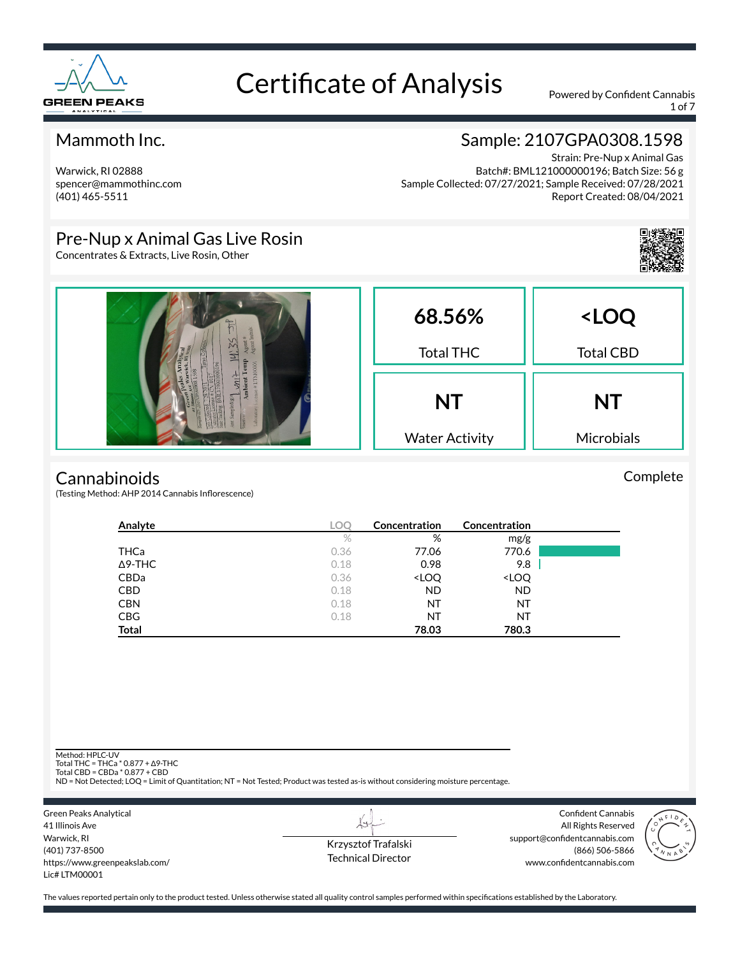

1 of 7

### Mammoth Inc.

Warwick, RI 02888 spencer@mammothinc.com (401) 465-5511

### Sample: 2107GPA0308.1598

Strain: Pre-Nup x Animal Gas Batch#: BML121000000196; Batch Size: 56 g Sample Collected: 07/27/2021; Sample Received: 07/28/2021 Report Created: 08/04/2021

### Pre-Nup x Animal Gas Live Rosin

Concentrates & Extracts, Live Rosin, Other



#### **Cannabinoids**

(Testing Method: AHP 2014 Cannabis Inflorescence)

| Analyte        | <b>LOC</b> | Concentration                                            | Concentration                |  |
|----------------|------------|----------------------------------------------------------|------------------------------|--|
|                | $\%$       | %                                                        | mg/g                         |  |
| THCa           | 0.36       | 77.06                                                    | 770.6                        |  |
| $\Delta$ 9-THC | 0.18       | 0.98                                                     | 9.8                          |  |
| CBDa           | 0.36       | <loq< th=""><th><loq< th=""><th></th></loq<></th></loq<> | <loq< th=""><th></th></loq<> |  |
| <b>CBD</b>     | 0.18       | <b>ND</b>                                                | <b>ND</b>                    |  |
| <b>CBN</b>     | 0.18       | ΝT                                                       | NT                           |  |
| <b>CBG</b>     | 0.18       | ΝT                                                       | NT                           |  |
| <b>Total</b>   |            | 78.03                                                    | 780.3                        |  |

Method: HPLC-UV

Total THC = THCa \* 0.877 + ∆9-THC Total CBD = CBDa \* 0.877 + CBD

ND = Not Detected; LOQ = Limit of Quantitation; NT = Not Tested; Product was tested as-is without considering moisture percentage.

Green Peaks Analytical 41 Illinois Ave Warwick, RI (401) 737-8500 https://www.greenpeakslab.com/ Lic# LTM00001

Krzysztof Trafalski Technical Director

L+

Confident Cannabis All Rights Reserved support@confidentcannabis.com (866) 506-5866 www.confidentcannabis.com



The values reported pertain only to the product tested. Unless otherwise stated all quality control samples performed within specifications established by the Laboratory.

Complete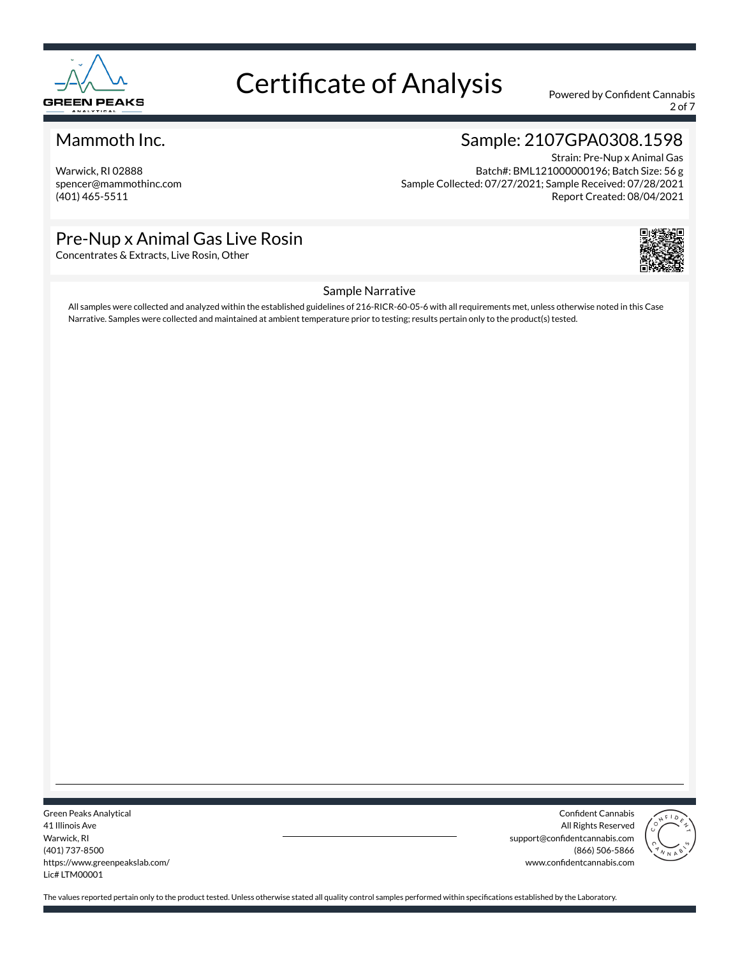

2 of 7

### Mammoth Inc.

Warwick, RI 02888 spencer@mammothinc.com (401) 465-5511

### Sample: 2107GPA0308.1598

Strain: Pre-Nup x Animal Gas Batch#: BML121000000196; Batch Size: 56 g Sample Collected: 07/27/2021; Sample Received: 07/28/2021 Report Created: 08/04/2021

### Pre-Nup x Animal Gas Live Rosin

Concentrates & Extracts, Live Rosin, Other



#### Sample Narrative

All samples were collected and analyzed within the established guidelines of 216-RICR-60-05-6 with all requirements met, unless otherwise noted in this Case Narrative. Samples were collected and maintained at ambient temperature prior to testing; results pertain only to the product(s) tested.

Green Peaks Analytical 41 Illinois Ave Warwick, RI (401) 737-8500 https://www.greenpeakslab.com/ Lic# LTM00001

Confident Cannabis All Rights Reserved support@confidentcannabis.com (866) 506-5866 www.confidentcannabis.com

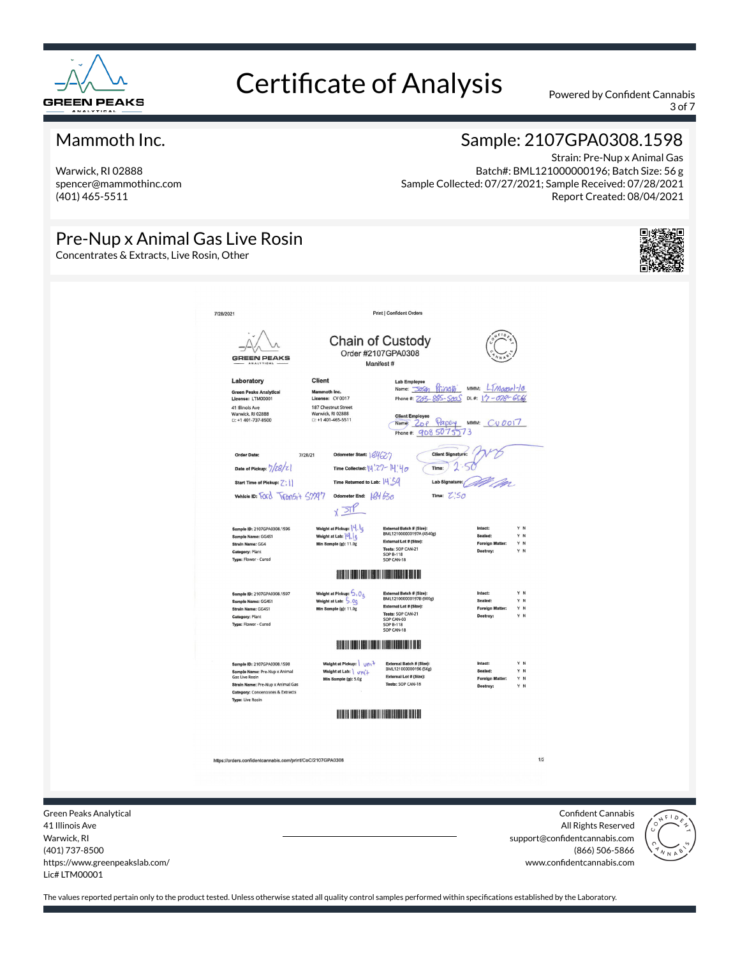

3 of 7

#### Mammoth Inc.

Warwick, RI 02888 spencer@mammothinc.com (401) 465-5511

### Sample: 2107GPA0308.1598

Strain: Pre-Nup x Animal Gas Batch#: BML121000000196; Batch Size: 56 g Sample Collected: 07/27/2021; Sample Received: 07/28/2021 Report Created: 08/04/2021

### Pre-Nup x Animal Gas Live Rosin

Concentrates & Extracts, Live Rosin, Other





41 Illinois Ave Warwick, RI (401) 737-8500 https://www.greenpeakslab.com/ Lic# LTM00001

All Rights Reserved support@confidentcannabis.com (866) 506-5866 www.confidentcannabis.com

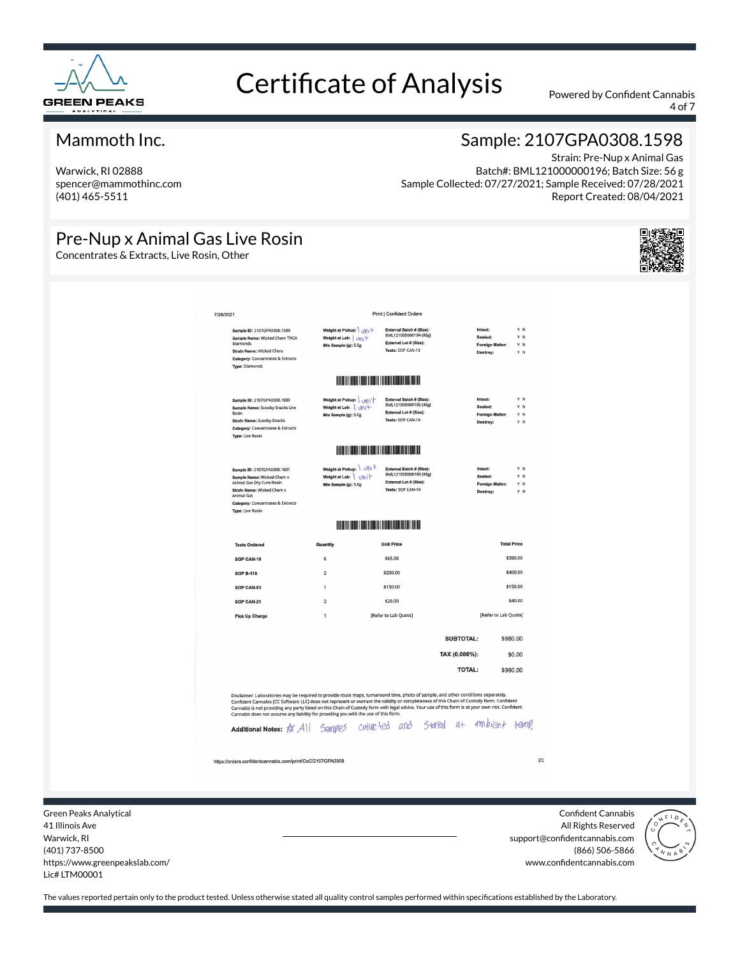

4 of 7

#### Mammoth Inc.

Warwick, RI 02888 spencer@mammothinc.com (401) 465-5511

### Sample: 2107GPA0308.1598

Strain: Pre-Nup x Animal Gas Batch#: BML121000000196; Batch Size: 56 g Sample Collected: 07/27/2021; Sample Received: 07/28/2021 Report Created: 08/04/2021

### Pre-Nup x Animal Gas Live Rosin

Concentrates & Extracts, Live Rosin, Other



| External Batch # (Size):<br>Intact:<br>Y N<br>Weight at Pickup:   $\sqrt{m}$<br>Sample ID: 2107GPA0308.1599<br>BML121000000194 (86g)<br>Y N<br>Sealed:<br>Weight at Lab: Vill +<br>Sample Name: Wicked Chem THCA<br>External Lot # (Size):<br><b>Diamonds</b><br>Min Sample (g): 5.0g<br><b>Foreign Matter:</b><br>Y N<br>Tests: SOP CAN-18<br>Strain Name: Wicked Chem<br>Destroy:<br>Y N<br><b>Category: Concentrates &amp; Extracts</b><br><b>Type: Diamonds</b><br><u> III dhexe iyo katika mashrida mashrida mashrida</u><br>Y N<br>Weight at Pickup: Will<br>External Batch # (Size):<br>Intact:<br>Sample ID: 2107GPA0308.1600<br>BML121000000195 (46g)<br>Weight at Lab: Vni <sup>4</sup><br>Sealed:<br>YN<br>Sample Name: Scooby Snacks Live<br>External Lot # (Size):<br>Rosin<br>Y N<br><b>Foreign Matter:</b><br>Min Sample (g): 5.0g<br>Tests: SOP CAN-18<br><b>Strain Name: Scooby Snacks</b><br>Destroy:<br>Y N<br><b>Category: Concentrates &amp; Extracts</b><br><b>Type: Live Rosin</b><br><b>Harry Communication</b><br>Weight at Pickup: \ V\\ +<br>External Batch # (Size):<br>Intact:<br>Y N<br>Sample ID: 2107GPA0308.1601<br>BML121000000190 (98g)<br>Y N<br>Weight at Lab: Unit<br>Sealed:<br>Sample Name: Wicked Chem x<br>External Lot # (Size):<br>Animal Gas Dry Cure Rosin<br>Min Sample (g): 5.0g<br><b>Foreign Matter:</b><br>YN<br>Tests: SOP CAN-18<br>Strain Name: Wicked Chem x<br>Destroy:<br>YN<br>Animal Gas<br><b>Category: Concentrates &amp; Extracts</b><br><b>Type: Live Rosin</b><br><b>THE REAL PROPERTY OF STATE</b><br><b>Total Price</b><br>Quantity<br><b>Unit Price</b><br><b>Tests Ordered</b><br>\$65.00<br>\$390.00<br>SOP CAN-18<br>6<br>\$400.00<br>\$200.00<br>$\overline{2}$<br><b>SOP B-118</b><br>\$150.00<br>\$150.00<br>SOP CAN-03<br>$\mathbf{1}$<br>\$40.00<br>$\overline{2}$<br>\$20.00<br>SOP CAN-21<br>[Refer to Lab Quote]<br>[Refer to Lab Quote]<br>$\mathbf{1}$<br><b>Pick Up Charge</b><br>SUBTOTAL:<br>\$980.00<br>TAX (0.000%):<br>\$0.00<br><b>TOTAL:</b><br>\$980.00<br>Disclaimer: Laboratories may be required to provide route maps, turnaround time, photo of sample, and other conditions separately.<br>Confident Cannabis (CC Software LLC) does not represent or warrant the validity or completeness of this Chain of Custody form. Confident<br>Cannabis is not providing any party listed on this Chain of Custody form with legal advice. Your use of this form is at your own risk. Confident<br>Cannabis does not assume any liability for providing you with the use of this form.<br>Additional Notes: # All Samples collected and stated at ambient famp,<br>https://orders.confidentcannabis.com/print/CoC/2107GPA0308 | 7/28/2021 | Print   Confident Orders |  |
|----------------------------------------------------------------------------------------------------------------------------------------------------------------------------------------------------------------------------------------------------------------------------------------------------------------------------------------------------------------------------------------------------------------------------------------------------------------------------------------------------------------------------------------------------------------------------------------------------------------------------------------------------------------------------------------------------------------------------------------------------------------------------------------------------------------------------------------------------------------------------------------------------------------------------------------------------------------------------------------------------------------------------------------------------------------------------------------------------------------------------------------------------------------------------------------------------------------------------------------------------------------------------------------------------------------------------------------------------------------------------------------------------------------------------------------------------------------------------------------------------------------------------------------------------------------------------------------------------------------------------------------------------------------------------------------------------------------------------------------------------------------------------------------------------------------------------------------------------------------------------------------------------------------------------------------------------------------------------------------------------------------------------------------------------------------------------------------------------------------------------------------------------------------------------------------------------------------------------------------------------------------------------------------------------------------------------------------------------------------------------------------------------------------------------------------------------------------------------------------------------------------------------------------------------------------------------------------------------------------------------------------------------------------------------------------------------------------------|-----------|--------------------------|--|
|                                                                                                                                                                                                                                                                                                                                                                                                                                                                                                                                                                                                                                                                                                                                                                                                                                                                                                                                                                                                                                                                                                                                                                                                                                                                                                                                                                                                                                                                                                                                                                                                                                                                                                                                                                                                                                                                                                                                                                                                                                                                                                                                                                                                                                                                                                                                                                                                                                                                                                                                                                                                                                                                                                                      |           |                          |  |
|                                                                                                                                                                                                                                                                                                                                                                                                                                                                                                                                                                                                                                                                                                                                                                                                                                                                                                                                                                                                                                                                                                                                                                                                                                                                                                                                                                                                                                                                                                                                                                                                                                                                                                                                                                                                                                                                                                                                                                                                                                                                                                                                                                                                                                                                                                                                                                                                                                                                                                                                                                                                                                                                                                                      |           |                          |  |
|                                                                                                                                                                                                                                                                                                                                                                                                                                                                                                                                                                                                                                                                                                                                                                                                                                                                                                                                                                                                                                                                                                                                                                                                                                                                                                                                                                                                                                                                                                                                                                                                                                                                                                                                                                                                                                                                                                                                                                                                                                                                                                                                                                                                                                                                                                                                                                                                                                                                                                                                                                                                                                                                                                                      |           |                          |  |
|                                                                                                                                                                                                                                                                                                                                                                                                                                                                                                                                                                                                                                                                                                                                                                                                                                                                                                                                                                                                                                                                                                                                                                                                                                                                                                                                                                                                                                                                                                                                                                                                                                                                                                                                                                                                                                                                                                                                                                                                                                                                                                                                                                                                                                                                                                                                                                                                                                                                                                                                                                                                                                                                                                                      |           |                          |  |
|                                                                                                                                                                                                                                                                                                                                                                                                                                                                                                                                                                                                                                                                                                                                                                                                                                                                                                                                                                                                                                                                                                                                                                                                                                                                                                                                                                                                                                                                                                                                                                                                                                                                                                                                                                                                                                                                                                                                                                                                                                                                                                                                                                                                                                                                                                                                                                                                                                                                                                                                                                                                                                                                                                                      |           |                          |  |
|                                                                                                                                                                                                                                                                                                                                                                                                                                                                                                                                                                                                                                                                                                                                                                                                                                                                                                                                                                                                                                                                                                                                                                                                                                                                                                                                                                                                                                                                                                                                                                                                                                                                                                                                                                                                                                                                                                                                                                                                                                                                                                                                                                                                                                                                                                                                                                                                                                                                                                                                                                                                                                                                                                                      |           |                          |  |
|                                                                                                                                                                                                                                                                                                                                                                                                                                                                                                                                                                                                                                                                                                                                                                                                                                                                                                                                                                                                                                                                                                                                                                                                                                                                                                                                                                                                                                                                                                                                                                                                                                                                                                                                                                                                                                                                                                                                                                                                                                                                                                                                                                                                                                                                                                                                                                                                                                                                                                                                                                                                                                                                                                                      |           |                          |  |
|                                                                                                                                                                                                                                                                                                                                                                                                                                                                                                                                                                                                                                                                                                                                                                                                                                                                                                                                                                                                                                                                                                                                                                                                                                                                                                                                                                                                                                                                                                                                                                                                                                                                                                                                                                                                                                                                                                                                                                                                                                                                                                                                                                                                                                                                                                                                                                                                                                                                                                                                                                                                                                                                                                                      |           |                          |  |
|                                                                                                                                                                                                                                                                                                                                                                                                                                                                                                                                                                                                                                                                                                                                                                                                                                                                                                                                                                                                                                                                                                                                                                                                                                                                                                                                                                                                                                                                                                                                                                                                                                                                                                                                                                                                                                                                                                                                                                                                                                                                                                                                                                                                                                                                                                                                                                                                                                                                                                                                                                                                                                                                                                                      |           |                          |  |
|                                                                                                                                                                                                                                                                                                                                                                                                                                                                                                                                                                                                                                                                                                                                                                                                                                                                                                                                                                                                                                                                                                                                                                                                                                                                                                                                                                                                                                                                                                                                                                                                                                                                                                                                                                                                                                                                                                                                                                                                                                                                                                                                                                                                                                                                                                                                                                                                                                                                                                                                                                                                                                                                                                                      |           |                          |  |
|                                                                                                                                                                                                                                                                                                                                                                                                                                                                                                                                                                                                                                                                                                                                                                                                                                                                                                                                                                                                                                                                                                                                                                                                                                                                                                                                                                                                                                                                                                                                                                                                                                                                                                                                                                                                                                                                                                                                                                                                                                                                                                                                                                                                                                                                                                                                                                                                                                                                                                                                                                                                                                                                                                                      |           |                          |  |
|                                                                                                                                                                                                                                                                                                                                                                                                                                                                                                                                                                                                                                                                                                                                                                                                                                                                                                                                                                                                                                                                                                                                                                                                                                                                                                                                                                                                                                                                                                                                                                                                                                                                                                                                                                                                                                                                                                                                                                                                                                                                                                                                                                                                                                                                                                                                                                                                                                                                                                                                                                                                                                                                                                                      |           |                          |  |
|                                                                                                                                                                                                                                                                                                                                                                                                                                                                                                                                                                                                                                                                                                                                                                                                                                                                                                                                                                                                                                                                                                                                                                                                                                                                                                                                                                                                                                                                                                                                                                                                                                                                                                                                                                                                                                                                                                                                                                                                                                                                                                                                                                                                                                                                                                                                                                                                                                                                                                                                                                                                                                                                                                                      |           |                          |  |
|                                                                                                                                                                                                                                                                                                                                                                                                                                                                                                                                                                                                                                                                                                                                                                                                                                                                                                                                                                                                                                                                                                                                                                                                                                                                                                                                                                                                                                                                                                                                                                                                                                                                                                                                                                                                                                                                                                                                                                                                                                                                                                                                                                                                                                                                                                                                                                                                                                                                                                                                                                                                                                                                                                                      |           |                          |  |
|                                                                                                                                                                                                                                                                                                                                                                                                                                                                                                                                                                                                                                                                                                                                                                                                                                                                                                                                                                                                                                                                                                                                                                                                                                                                                                                                                                                                                                                                                                                                                                                                                                                                                                                                                                                                                                                                                                                                                                                                                                                                                                                                                                                                                                                                                                                                                                                                                                                                                                                                                                                                                                                                                                                      |           |                          |  |

Green Peaks Analytical 41 Illinois Ave Warwick, RI (401) 737-8500 https://www.greenpeakslab.com/ Lic# LTM00001

Confident Cannabis All Rights Reserved support@confidentcannabis.com (866) 506-5866 www.confidentcannabis.com

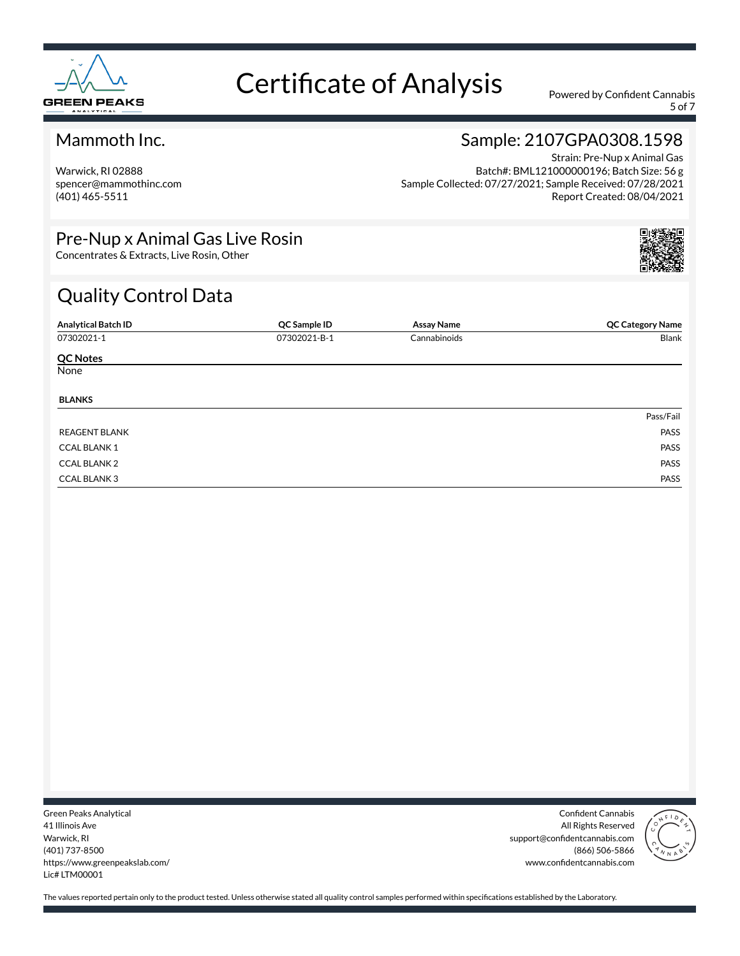

5 of 7

#### Mammoth Inc.

Warwick, RI 02888 spencer@mammothinc.com (401) 465-5511

### Sample: 2107GPA0308.1598

Strain: Pre-Nup x Animal Gas Batch#: BML121000000196; Batch Size: 56 g Sample Collected: 07/27/2021; Sample Received: 07/28/2021 Report Created: 08/04/2021

### Pre-Nup x Animal Gas Live Rosin

Concentrates & Extracts, Live Rosin, Other

### Quality Control Data

| <b>Analytical Batch ID</b> | QC Sample ID | <b>Assay Name</b> | <b>QC Category Name</b> |
|----------------------------|--------------|-------------------|-------------------------|
| 07302021-1                 | 07302021-B-1 | Cannabinoids      | Blank                   |
| <b>QC Notes</b>            |              |                   |                         |
| None                       |              |                   |                         |
| <b>BLANKS</b>              |              |                   |                         |
|                            |              |                   | Pass/Fail               |
| <b>REAGENT BLANK</b>       |              |                   | PASS                    |
| <b>CCAL BLANK1</b>         |              |                   | PASS                    |
| <b>CCAL BLANK 2</b>        |              |                   | PASS                    |
| <b>CCAL BLANK3</b>         |              |                   | PASS                    |

Green Peaks Analytical 41 Illinois Ave Warwick, RI (401) 737-8500 https://www.greenpeakslab.com/ Lic# LTM00001

Confident Cannabis All Rights Reserved support@confidentcannabis.com (866) 506-5866 www.confidentcannabis.com

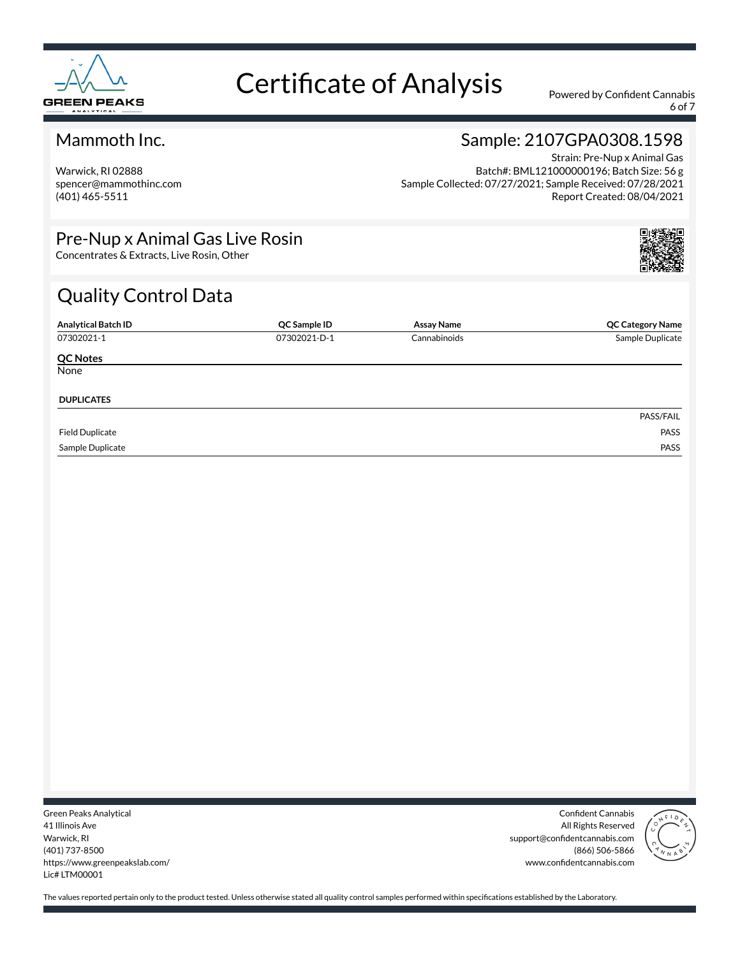

6 of 7

#### Mammoth Inc.

Warwick, RI 02888 spencer@mammothinc.com (401) 465-5511

### Sample: 2107GPA0308.1598

Strain: Pre-Nup x Animal Gas Batch#: BML121000000196; Batch Size: 56 g Sample Collected: 07/27/2021; Sample Received: 07/28/2021 Report Created: 08/04/2021

### Pre-Nup x Animal Gas Live Rosin

Concentrates & Extracts, Live Rosin, Other

### Quality Control Data

| <b>Analytical Batch ID</b> | QC Sample ID | Assay Name   | <b>QC Category Name</b> |
|----------------------------|--------------|--------------|-------------------------|
| 07302021-1                 | 07302021-D-1 | Cannabinoids | Sample Duplicate        |
| <b>QC Notes</b>            |              |              |                         |
| None                       |              |              |                         |
| <b>DUPLICATES</b>          |              |              |                         |
|                            |              |              | PASS/FAIL               |
| <b>Field Duplicate</b>     |              |              | PASS                    |
| Sample Duplicate           |              |              | PASS                    |

Green Peaks Analytical 41 Illinois Ave Warwick, RI (401) 737-8500 https://www.greenpeakslab.com/ Lic# LTM00001

Confident Cannabis All Rights Reserved support@confidentcannabis.com (866) 506-5866 www.confidentcannabis.com